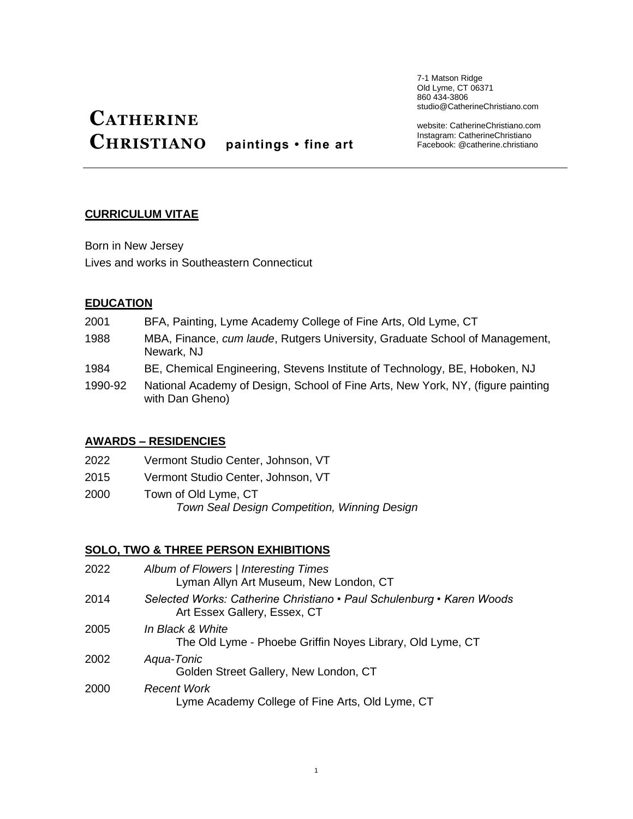7-1 Matson Ridge Old Lyme, CT 06371 860 434-3806 studio@CatherineChristiano.com

# **CATHERINE CHRISTIANO paintings • fine art**

website: CatherineChristiano.com Instagram: CatherineChristiano Facebook: @catherine.christiano

### **CURRICULUM VITAE**

Born in New Jersey Lives and works in Southeastern Connecticut

### **EDUCATION**

- 2001 BFA, Painting, Lyme Academy College of Fine Arts, Old Lyme, CT
- 1988 MBA, Finance, *cum laude*, Rutgers University, Graduate School of Management, Newark, NJ
- 1984 BE, Chemical Engineering, Stevens Institute of Technology, BE, Hoboken, NJ
- 1990-92 National Academy of Design, School of Fine Arts, New York, NY, (figure painting with Dan Gheno)

### **AWARDS – RESIDENCIES**

- 2022 Vermont Studio Center, Johnson, VT
- 2015 Vermont Studio Center, Johnson, VT
- 2000 Town of Old Lyme, CT  *Town Seal Design Competition, Winning Design*

# **SOLO, TWO & THREE PERSON EXHIBITIONS**

| 2022 | Album of Flowers   Interesting Times<br>Lyman Allyn Art Museum, New London, CT                        |
|------|-------------------------------------------------------------------------------------------------------|
| 2014 | Selected Works: Catherine Christiano • Paul Schulenburg • Karen Woods<br>Art Essex Gallery, Essex, CT |
| 2005 | In Black & White<br>The Old Lyme - Phoebe Griffin Noyes Library, Old Lyme, CT                         |
| 2002 | Agua-Tonic<br>Golden Street Gallery, New London, CT                                                   |
| 2000 | <b>Recent Work</b><br>Lyme Academy College of Fine Arts, Old Lyme, CT                                 |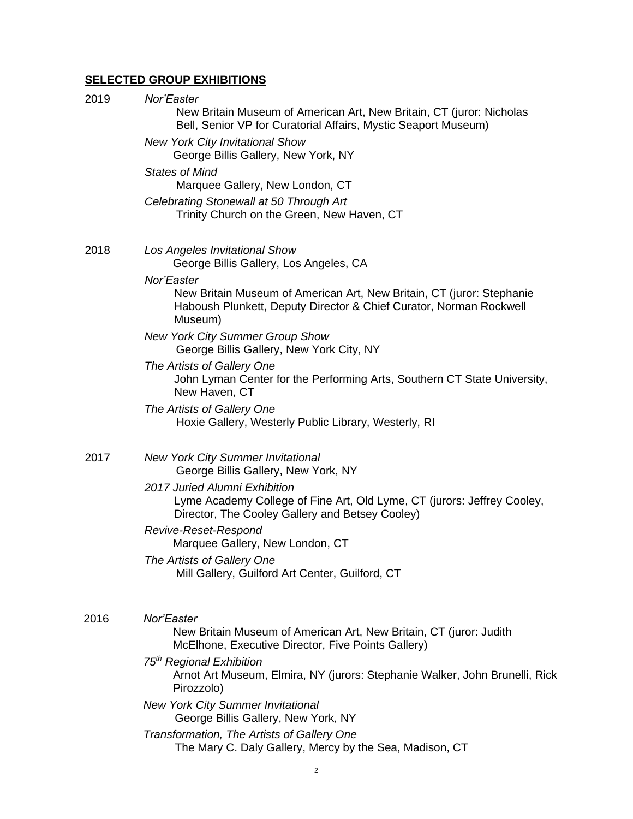# **SELECTED GROUP EXHIBITIONS**

| 2019 | Nor'Easter<br>New Britain Museum of American Art, New Britain, CT (juror: Nicholas<br>Bell, Senior VP for Curatorial Affairs, Mystic Seaport Museum)                 |
|------|----------------------------------------------------------------------------------------------------------------------------------------------------------------------|
|      | <b>New York City Invitational Show</b><br>George Billis Gallery, New York, NY                                                                                        |
|      | <b>States of Mind</b><br>Marquee Gallery, New London, CT                                                                                                             |
|      | Celebrating Stonewall at 50 Through Art<br>Trinity Church on the Green, New Haven, CT                                                                                |
| 2018 | Los Angeles Invitational Show<br>George Billis Gallery, Los Angeles, CA                                                                                              |
|      | Nor'Easter<br>New Britain Museum of American Art, New Britain, CT (juror: Stephanie<br>Haboush Plunkett, Deputy Director & Chief Curator, Norman Rockwell<br>Museum) |
|      | <b>New York City Summer Group Show</b><br>George Billis Gallery, New York City, NY                                                                                   |
|      | The Artists of Gallery One<br>John Lyman Center for the Performing Arts, Southern CT State University,<br>New Haven, CT                                              |
|      | The Artists of Gallery One<br>Hoxie Gallery, Westerly Public Library, Westerly, RI                                                                                   |
| 2017 | <b>New York City Summer Invitational</b><br>George Billis Gallery, New York, NY                                                                                      |
|      | 2017 Juried Alumni Exhibition<br>Lyme Academy College of Fine Art, Old Lyme, CT (jurors: Jeffrey Cooley,<br>Director, The Cooley Gallery and Betsey Cooley)          |
|      | Revive-Reset-Respond<br>Marquee Gallery, New London, CT                                                                                                              |
|      | The Artists of Gallery One<br>Mill Gallery, Guilford Art Center, Guilford, CT                                                                                        |
| 2016 | Nor'Easter<br>New Britain Museum of American Art, New Britain, CT (juror: Judith<br>McElhone, Executive Director, Five Points Gallery)                               |
|      | 75 <sup>th</sup> Regional Exhibition<br>Arnot Art Museum, Elmira, NY (jurors: Stephanie Walker, John Brunelli, Rick<br>Pirozzolo)                                    |
|      | <b>New York City Summer Invitational</b><br>George Billis Gallery, New York, NY                                                                                      |
|      | Transformation, The Artists of Gallery One<br>The Mary C. Daly Gallery, Mercy by the Sea, Madison, CT                                                                |
|      |                                                                                                                                                                      |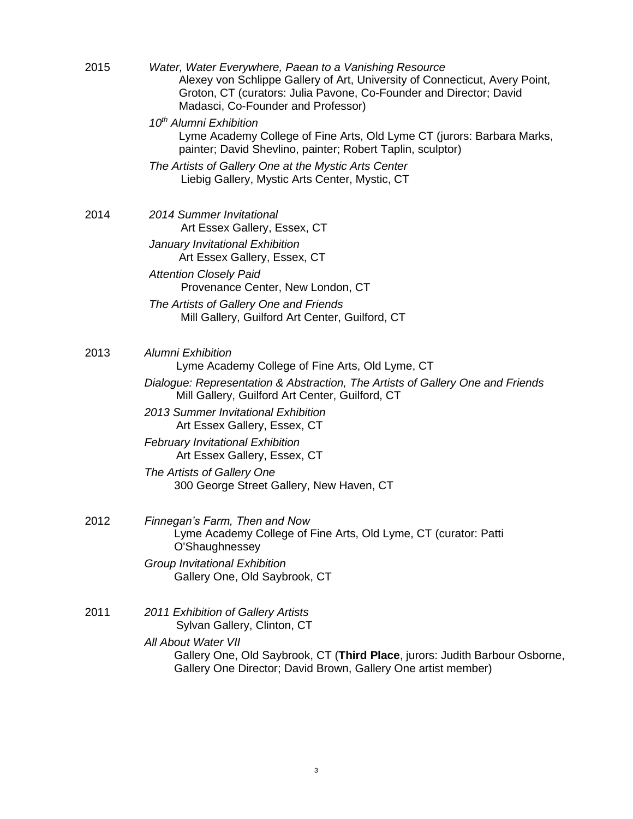| 2015 | Water, Water Everywhere, Paean to a Vanishing Resource<br>Alexey von Schlippe Gallery of Art, University of Connecticut, Avery Point,<br>Groton, CT (curators: Julia Pavone, Co-Founder and Director; David<br>Madasci, Co-Founder and Professor) |  |  |
|------|---------------------------------------------------------------------------------------------------------------------------------------------------------------------------------------------------------------------------------------------------|--|--|
|      | 10 <sup>th</sup> Alumni Exhibition<br>Lyme Academy College of Fine Arts, Old Lyme CT (jurors: Barbara Marks,<br>painter; David Shevlino, painter; Robert Taplin, sculptor)                                                                        |  |  |
|      | The Artists of Gallery One at the Mystic Arts Center<br>Liebig Gallery, Mystic Arts Center, Mystic, CT                                                                                                                                            |  |  |
| 2014 | <b>2014 Summer Invitational</b><br>Art Essex Gallery, Essex, CT                                                                                                                                                                                   |  |  |
|      | January Invitational Exhibition<br>Art Essex Gallery, Essex, CT                                                                                                                                                                                   |  |  |
|      | <b>Attention Closely Paid</b><br>Provenance Center, New London, CT                                                                                                                                                                                |  |  |
|      | The Artists of Gallery One and Friends<br>Mill Gallery, Guilford Art Center, Guilford, CT                                                                                                                                                         |  |  |
| 2013 | Alumni Exhibition<br>Lyme Academy College of Fine Arts, Old Lyme, CT                                                                                                                                                                              |  |  |
|      | Dialogue: Representation & Abstraction, The Artists of Gallery One and Friends<br>Mill Gallery, Guilford Art Center, Guilford, CT                                                                                                                 |  |  |
|      | 2013 Summer Invitational Exhibition<br>Art Essex Gallery, Essex, CT                                                                                                                                                                               |  |  |
|      | <b>February Invitational Exhibition</b><br>Art Essex Gallery, Essex, CT                                                                                                                                                                           |  |  |
|      | The Artists of Gallery One<br>300 George Street Gallery, New Haven, CT                                                                                                                                                                            |  |  |
| 2012 | Finnegan's Farm, Then and Now<br>Lyme Academy College of Fine Arts, Old Lyme, CT (curator: Patti<br>O'Shaughnessey                                                                                                                                |  |  |
|      | Group Invitational Exhibition<br>Gallery One, Old Saybrook, CT                                                                                                                                                                                    |  |  |
| 2011 | 2011 Exhibition of Gallery Artists<br>Sylvan Gallery, Clinton, CT                                                                                                                                                                                 |  |  |
|      | <b>All About Water VII</b><br>Gallery One, Old Saybrook, CT (Third Place, jurors: Judith Barbour Osborne,<br>Gallery One Director; David Brown, Gallery One artist member)                                                                        |  |  |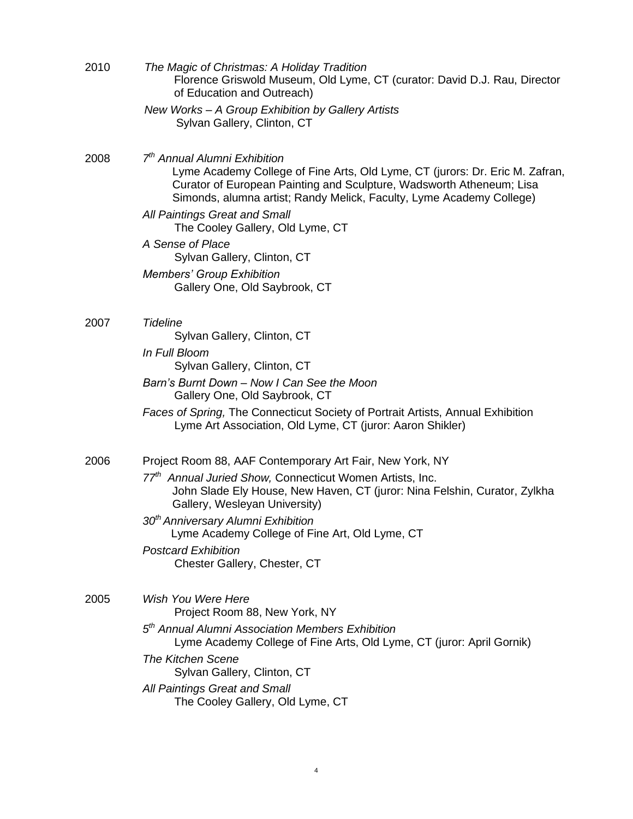| 2010 | The Magic of Christmas: A Holiday Tradition<br>Florence Griswold Museum, Old Lyme, CT (curator: David D.J. Rau, Director<br>of Education and Outreach)                                                                                                                   |
|------|--------------------------------------------------------------------------------------------------------------------------------------------------------------------------------------------------------------------------------------------------------------------------|
|      | New Works - A Group Exhibition by Gallery Artists<br>Sylvan Gallery, Clinton, CT                                                                                                                                                                                         |
| 2008 | 7 <sup>th</sup> Annual Alumni Exhibition<br>Lyme Academy College of Fine Arts, Old Lyme, CT (jurors: Dr. Eric M. Zafran,<br>Curator of European Painting and Sculpture, Wadsworth Atheneum; Lisa<br>Simonds, alumna artist; Randy Melick, Faculty, Lyme Academy College) |
|      | All Paintings Great and Small<br>The Cooley Gallery, Old Lyme, CT                                                                                                                                                                                                        |
|      | A Sense of Place<br>Sylvan Gallery, Clinton, CT                                                                                                                                                                                                                          |
|      | <b>Members' Group Exhibition</b><br>Gallery One, Old Saybrook, CT                                                                                                                                                                                                        |
| 2007 | <b>Tideline</b><br>Sylvan Gallery, Clinton, CT                                                                                                                                                                                                                           |
|      | In Full Bloom<br>Sylvan Gallery, Clinton, CT                                                                                                                                                                                                                             |
|      | Barn's Burnt Down - Now I Can See the Moon<br>Gallery One, Old Saybrook, CT                                                                                                                                                                                              |
|      | Faces of Spring, The Connecticut Society of Portrait Artists, Annual Exhibition<br>Lyme Art Association, Old Lyme, CT (juror: Aaron Shikler)                                                                                                                             |
| 2006 | Project Room 88, AAF Contemporary Art Fair, New York, NY                                                                                                                                                                                                                 |
|      | 77 <sup>th</sup> Annual Juried Show, Connecticut Women Artists, Inc.<br>John Slade Ely House, New Haven, CT (juror: Nina Felshin, Curator, Zylkha<br>Gallery, Wesleyan University)                                                                                       |
|      | 30 <sup>th</sup> Anniversary Alumni Exhibition<br>Lyme Academy College of Fine Art, Old Lyme, CT                                                                                                                                                                         |
|      | <b>Postcard Exhibition</b><br>Chester Gallery, Chester, CT                                                                                                                                                                                                               |
| 2005 | Wish You Were Here<br>Project Room 88, New York, NY                                                                                                                                                                                                                      |
|      | 5 <sup>th</sup> Annual Alumni Association Members Exhibition<br>Lyme Academy College of Fine Arts, Old Lyme, CT (juror: April Gornik)                                                                                                                                    |
|      | <b>The Kitchen Scene</b><br>Sylvan Gallery, Clinton, CT                                                                                                                                                                                                                  |
|      | All Paintings Great and Small<br>The Cooley Gallery, Old Lyme, CT                                                                                                                                                                                                        |
|      |                                                                                                                                                                                                                                                                          |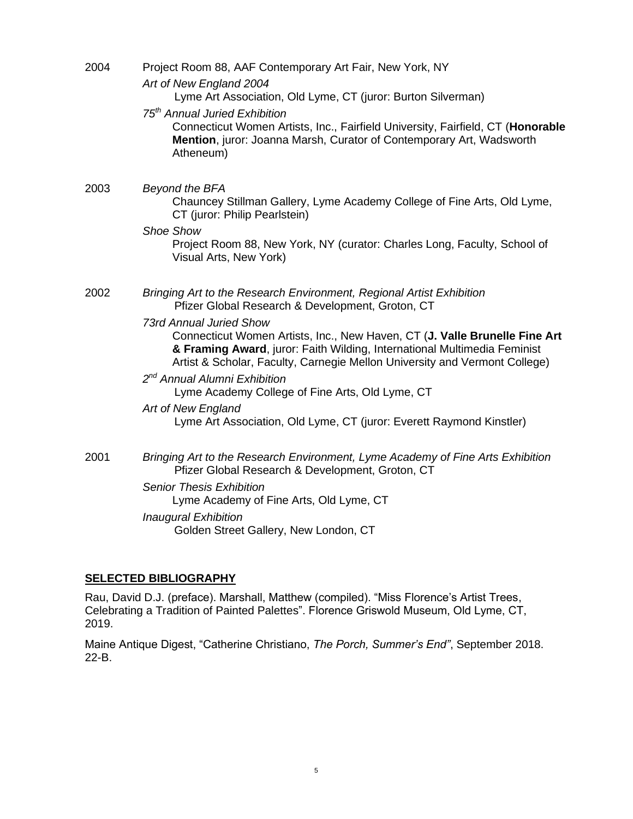| 2004 | Project Room 88, AAF Contemporary Art Fair, New York, NY<br>Art of New England 2004<br>Lyme Art Association, Old Lyme, CT (juror: Burton Silverman)<br>75 <sup>th</sup> Annual Juried Exhibition<br>Connecticut Women Artists, Inc., Fairfield University, Fairfield, CT (Honorable<br>Mention, juror: Joanna Marsh, Curator of Contemporary Art, Wadsworth<br>Atheneum) |
|------|--------------------------------------------------------------------------------------------------------------------------------------------------------------------------------------------------------------------------------------------------------------------------------------------------------------------------------------------------------------------------|
| 2003 | Beyond the BFA<br>Chauncey Stillman Gallery, Lyme Academy College of Fine Arts, Old Lyme,<br>CT (juror: Philip Pearlstein)                                                                                                                                                                                                                                               |
|      | <b>Shoe Show</b><br>Project Room 88, New York, NY (curator: Charles Long, Faculty, School of<br>Visual Arts, New York)                                                                                                                                                                                                                                                   |
| 2002 | Bringing Art to the Research Environment, Regional Artist Exhibition<br>Pfizer Global Research & Development, Groton, CT                                                                                                                                                                                                                                                 |
|      | <b>73rd Annual Juried Show</b><br>Connecticut Women Artists, Inc., New Haven, CT (J. Valle Brunelle Fine Art<br>& Framing Award, juror: Faith Wilding, International Multimedia Feminist<br>Artist & Scholar, Faculty, Carnegie Mellon University and Vermont College)                                                                                                   |
|      | 2 <sup>nd</sup> Annual Alumni Exhibition<br>Lyme Academy College of Fine Arts, Old Lyme, CT                                                                                                                                                                                                                                                                              |
|      | Art of New England<br>Lyme Art Association, Old Lyme, CT (juror: Everett Raymond Kinstler)                                                                                                                                                                                                                                                                               |
| 2001 | Bringing Art to the Research Environment, Lyme Academy of Fine Arts Exhibition<br>Pfizer Global Research & Development, Groton, CT                                                                                                                                                                                                                                       |
|      | <b>Senior Thesis Exhibition</b><br>Lyme Academy of Fine Arts, Old Lyme, CT                                                                                                                                                                                                                                                                                               |
|      | <b>Inaugural Exhibition</b><br>Golden Street Gallery, New London, CT                                                                                                                                                                                                                                                                                                     |

# **SELECTED BIBLIOGRAPHY**

Rau, David D.J. (preface). Marshall, Matthew (compiled). "Miss Florence's Artist Trees, Celebrating a Tradition of Painted Palettes". Florence Griswold Museum, Old Lyme, CT, 2019.

Maine Antique Digest, "Catherine Christiano, *The Porch, Summer's End"*, September 2018. 22-B.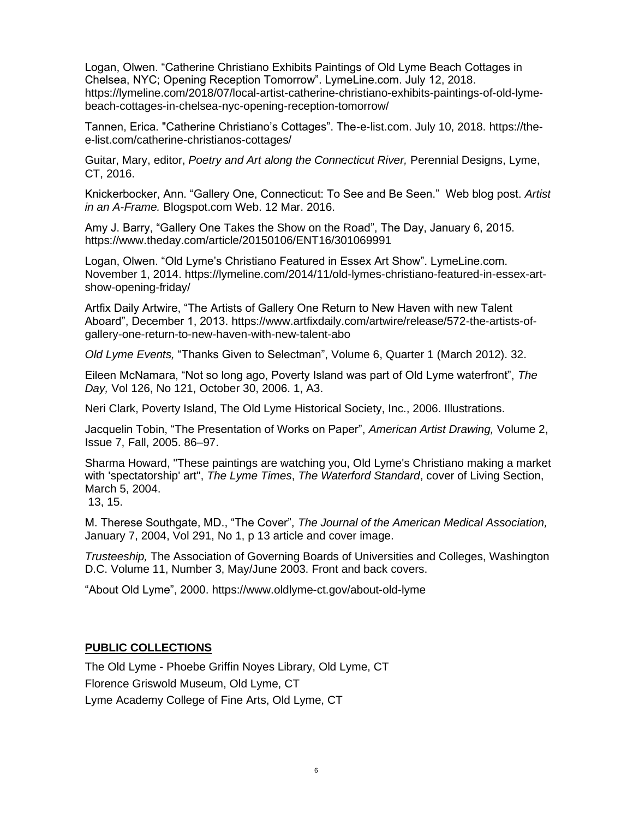Logan, Olwen. "Catherine Christiano Exhibits Paintings of Old Lyme Beach Cottages in Chelsea, NYC; Opening Reception Tomorrow". LymeLine.com. July 12, 2018. https://lymeline.com/2018/07/local-artist-catherine-christiano-exhibits-paintings-of-old-lymebeach-cottages-in-chelsea-nyc-opening-reception-tomorrow/

Tannen, Erica. "Catherine Christiano's Cottages". The-e-list.com. July 10, 2018. https://thee-list.com/catherine-christianos-cottages/

Guitar, Mary, editor, *Poetry and Art along the Connecticut River,* Perennial Designs, Lyme, CT, 2016.

Knickerbocker, Ann. "Gallery One, Connecticut: To See and Be Seen." Web blog post. *Artist in an A-Frame.* Blogspot.com Web. 12 Mar. 2016.

Amy J. Barry, "Gallery One Takes the Show on the Road", The Day, January 6, 2015. https://www.theday.com/article/20150106/ENT16/301069991

Logan, Olwen. "Old Lyme's Christiano Featured in Essex Art Show". LymeLine.com. November 1, 2014. https://lymeline.com/2014/11/old-lymes-christiano-featured-in-essex-artshow-opening-friday/

Artfix Daily Artwire, "The Artists of Gallery One Return to New Haven with new Talent Aboard", December 1, 2013. https://www.artfixdaily.com/artwire/release/572-the-artists-ofgallery-one-return-to-new-haven-with-new-talent-abo

*Old Lyme Events,* "Thanks Given to Selectman", Volume 6, Quarter 1 (March 2012). 32.

Eileen McNamara, "Not so long ago, Poverty Island was part of Old Lyme waterfront", *The Day,* Vol 126, No 121, October 30, 2006. 1, A3.

Neri Clark, Poverty Island, The Old Lyme Historical Society, Inc., 2006. Illustrations.

Jacquelin Tobin, "The Presentation of Works on Paper", *American Artist Drawing,* Volume 2, Issue 7, Fall, 2005. 86–97.

Sharma Howard, "These paintings are watching you, Old Lyme's Christiano making a market with 'spectatorship' art", *The Lyme Times*, *The Waterford Standard*, cover of Living Section, March 5, 2004.

13, 15.

M. Therese Southgate, MD., "The Cover", *The Journal of the American Medical Association,* January 7, 2004, Vol 291, No 1, p 13 article and cover image.

*Trusteeship,* The Association of Governing Boards of Universities and Colleges, Washington D.C. Volume 11, Number 3, May/June 2003. Front and back covers.

"About Old Lyme", 2000. https://www.oldlyme-ct.gov/about-old-lyme

#### **PUBLIC COLLECTIONS**

The Old Lyme - Phoebe Griffin Noyes Library, Old Lyme, CT Florence Griswold Museum, Old Lyme, CT Lyme Academy College of Fine Arts, Old Lyme, CT